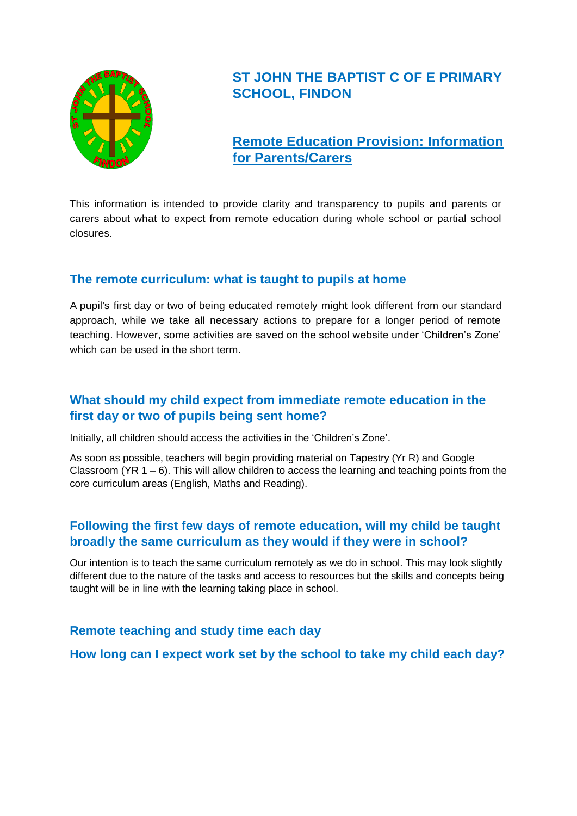

# **ST JOHN THE BAPTIST C OF E PRIMARY SCHOOL, FINDON**

## **Remote Education Provision: Information for Parents/Carers**

This information is intended to provide clarity and transparency to pupils and parents or carers about what to expect from remote education during whole school or partial school closures.

## **The remote curriculum: what is taught to pupils at home**

A pupil's first day or two of being educated remotely might look different from our standard approach, while we take all necessary actions to prepare for a longer period of remote teaching. However, some activities are saved on the school website under 'Children's Zone' which can be used in the short term.

## **What should my child expect from immediate remote education in the first day or two of pupils being sent home?**

Initially, all children should access the activities in the 'Children's Zone'.

As soon as possible, teachers will begin providing material on Tapestry (Yr R) and Google Classroom ( $YR_1 - 6$ ). This will allow children to access the learning and teaching points from the core curriculum areas (English, Maths and Reading).

## **Following the first few days of remote education, will my child be taught broadly the same curriculum as they would if they were in school?**

Our intention is to teach the same curriculum remotely as we do in school. This may look slightly different due to the nature of the tasks and access to resources but the skills and concepts being taught will be in line with the learning taking place in school.

## **Remote teaching and study time each day**

**How long can I expect work set by the school to take my child each day?**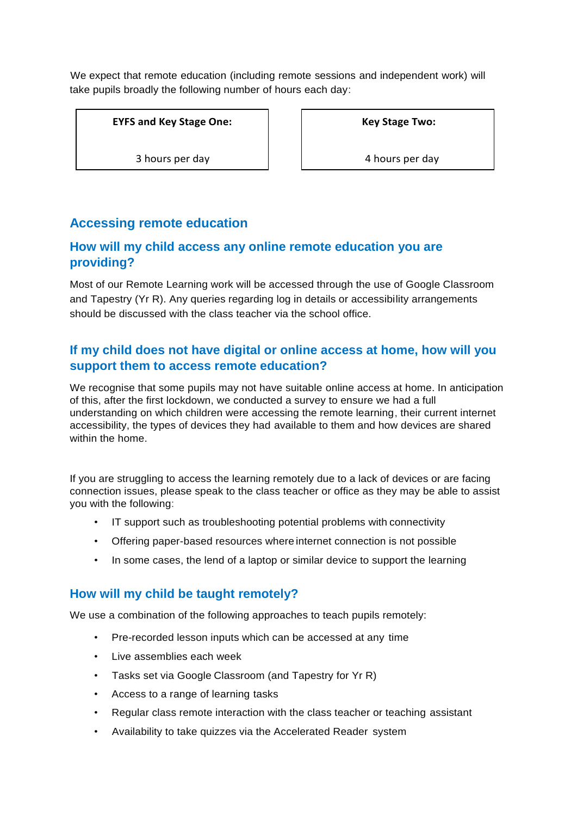We expect that remote education (including remote sessions and independent work) will take pupils broadly the following number of hours each day:

**EYFS and Key Stage One:**

3 hours per day

**Key Stage Two:**

4 hours per day

## **Accessing remote education**

## **How will my child access any online remote education you are providing?**

Most of our Remote Learning work will be accessed through the use of Google Classroom and Tapestry (Yr R). Any queries regarding log in details or accessibility arrangements should be discussed with the class teacher via the school office.

## **If my child does not have digital or online access at home, how will you support them to access remote education?**

We recognise that some pupils may not have suitable online access at home. In anticipation of this, after the first lockdown, we conducted a survey to ensure we had a full understanding on which children were accessing the remote learning, their current internet accessibility, the types of devices they had available to them and how devices are shared within the home.

If you are struggling to access the learning remotely due to a lack of devices or are facing connection issues, please speak to the class teacher or office as they may be able to assist you with the following:

- IT support such as troubleshooting potential problems with connectivity
- Offering paper-based resources where internet connection is not possible
- In some cases, the lend of a laptop or similar device to support the learning

#### **How will my child be taught remotely?**

We use a combination of the following approaches to teach pupils remotely:

- Pre-recorded lesson inputs which can be accessed at any time
- Live assemblies each week
- Tasks set via Google Classroom (and Tapestry for Yr R)
- Access to a range of learning tasks
- Regular class remote interaction with the class teacher or teaching assistant
- Availability to take quizzes via the Accelerated Reader system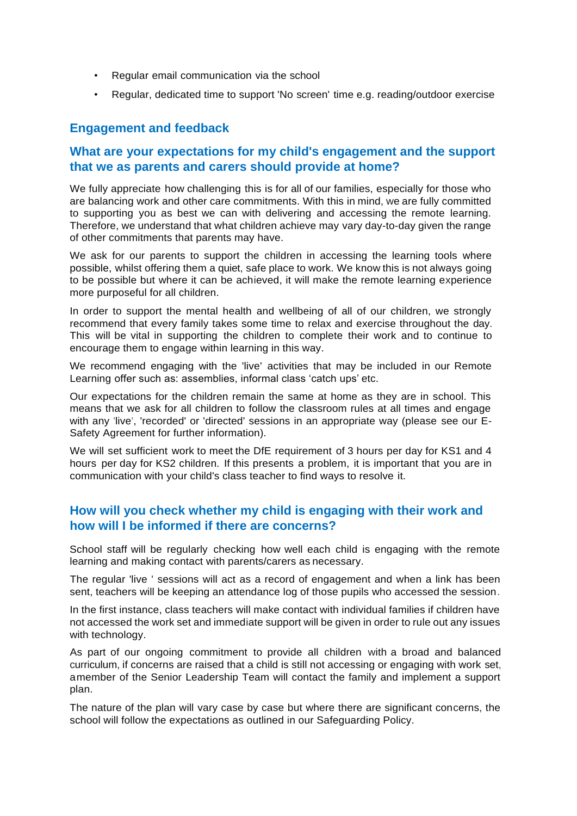- Regular email communication via the school
- Regular, dedicated time to support 'No screen' time e.g. reading/outdoor exercise

#### **Engagement and feedback**

#### **What are your expectations for my child's engagement and the support that we as parents and carers should provide at home?**

We fully appreciate how challenging this is for all of our families, especially for those who are balancing work and other care commitments. With this in mind, we are fully committed to supporting you as best we can with delivering and accessing the remote learning. Therefore, we understand that what children achieve may vary day-to-day given the range of other commitments that parents may have.

We ask for our parents to support the children in accessing the learning tools where possible, whilst offering them a quiet, safe place to work. We know this is not always going to be possible but where it can be achieved, it will make the remote learning experience more purposeful for all children.

In order to support the mental health and wellbeing of all of our children, we strongly recommend that every family takes some time to relax and exercise throughout the day. This will be vital in supporting the children to complete their work and to continue to encourage them to engage within learning in this way.

We recommend engaging with the 'live' activities that may be included in our Remote Learning offer such as: assemblies, informal class 'catch ups' etc.

Our expectations for the children remain the same at home as they are in school. This means that we ask for all children to follow the classroom rules at all times and engage with any 'live', 'recorded' or 'directed' sessions in an appropriate way (please see our E-Safety Agreement for further information).

We will set sufficient work to meet the DfE requirement of 3 hours per day for KS1 and 4 hours per day for KS2 children. If this presents a problem, it is important that you are in communication with your child's class teacher to find ways to resolve it.

## **How will you check whether my child is engaging with their work and how will I be informed if there are concerns?**

School staff will be regularly checking how well each child is engaging with the remote learning and making contact with parents/carers as necessary.

The regular 'live ' sessions will act as a record of engagement and when a link has been sent, teachers will be keeping an attendance log of those pupils who accessed the session.

In the first instance, class teachers will make contact with individual families if children have not accessed the work set and immediate support will be given in order to rule out any issues with technology.

As part of our ongoing commitment to provide all children with a broad and balanced curriculum, if concerns are raised that a child is still not accessing or engaging with work set, amember of the Senior Leadership Team will contact the family and implement a support plan.

The nature of the plan will vary case by case but where there are significant concerns, the school will follow the expectations as outlined in our Safeguarding Policy.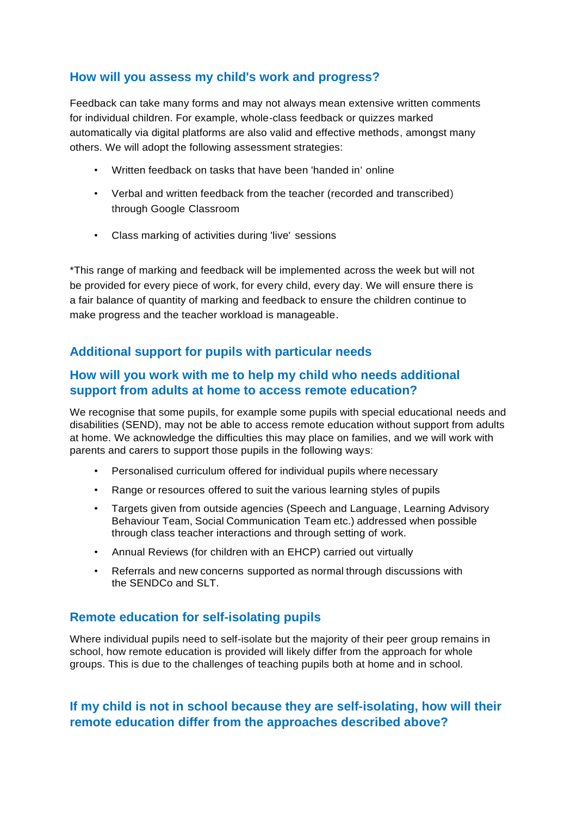## **How will you assess my child's work and progress?**

Feedback can take many forms and may not always mean extensive written comments for individual children. For example, whole-class feedback or quizzes marked automatically via digital platforms are also valid and effective methods, amongst many others. We will adopt the following assessment strategies:

- Written feedback on tasks that have been 'handed in' online
- Verbal and written feedback from the teacher (recorded and transcribed) through Google Classroom
- Class marking of activities during 'live' sessions

\*This range of marking and feedback will be implemented across the week but will not be provided for every piece of work, for every child, every day. We will ensure there is a fair balance of quantity of marking and feedback to ensure the children continue to make progress and the teacher workload is manageable.

## **Additional support for pupils with particular needs**

## **How will you work with me to help my child who needs additional support from adults at home to access remote education?**

We recognise that some pupils, for example some pupils with special educational needs and disabilities (SEND), may not be able to access remote education without support from adults at home. We acknowledge the difficulties this may place on families, and we will work with parents and carers to support those pupils in the following ways:

- Personalised curriculum offered for individual pupils where necessary
- Range or resources offered to suit the various learning styles of pupils
- Targets given from outside agencies (Speech and Language, Learning Advisory Behaviour Team, Social Communication Team etc.) addressed when possible through class teacher interactions and through setting of work.
- Annual Reviews (for children with an EHCP) carried out virtually
- Referrals and new concerns supported as normal through discussions with the SENDCo and SLT.

## **Remote education for self-isolating pupils**

Where individual pupils need to self-isolate but the majority of their peer group remains in school, how remote education is provided will likely differ from the approach for whole groups. This is due to the challenges of teaching pupils both at home and in school.

## **If my child is not in school because they are self-isolating, how will their remote education differ from the approaches described above?**